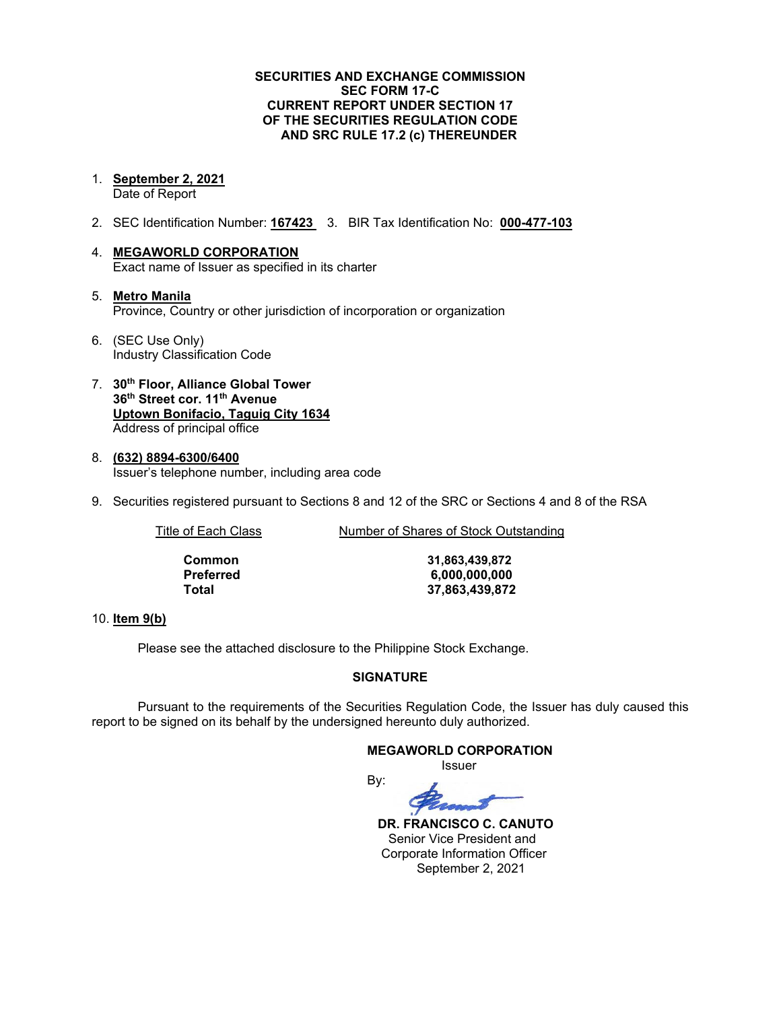#### **SECURITIES AND EXCHANGE COMMISSION SEC FORM 17-C CURRENT REPORT UNDER SECTION 17 OF THE SECURITIES REGULATION CODE AND SRC RULE 17.2 (c) THEREUNDER**

1. **September 2, 2021**

Date of Report

- 2. SEC Identification Number: **167423** 3. BIR Tax Identification No: **000-477-103**
- 4. **MEGAWORLD CORPORATION** Exact name of Issuer as specified in its charter
- 5. **Metro Manila** Province, Country or other jurisdiction of incorporation or organization
- 6. (SEC Use Only) Industry Classification Code
- 7. **30th Floor, Alliance Global Tower 36th Street cor. 11th Avenue Uptown Bonifacio, Taguig City 1634** Address of principal office
- 8. **(632) 8894-6300/6400** Issuer's telephone number, including area code
- 9. Securities registered pursuant to Sections 8 and 12 of the SRC or Sections 4 and 8 of the RSA

Title of Each Class Number of Shares of Stock Outstanding

| Common    |
|-----------|
| Preferred |
| Total     |

**Common 31,863,439,872 Preferred 6,000,000,000 Total 37,863,439,872**

#### 10. **Item 9(b)**

Please see the attached disclosure to the Philippine Stock Exchange.

## **SIGNATURE**

Pursuant to the requirements of the Securities Regulation Code, the Issuer has duly caused this report to be signed on its behalf by the undersigned hereunto duly authorized.

## **MEGAWORLD CORPORATION**

Issuer



 **DR. FRANCISCO C. CANUTO** Senior Vice President and Corporate Information Officer September 2, 2021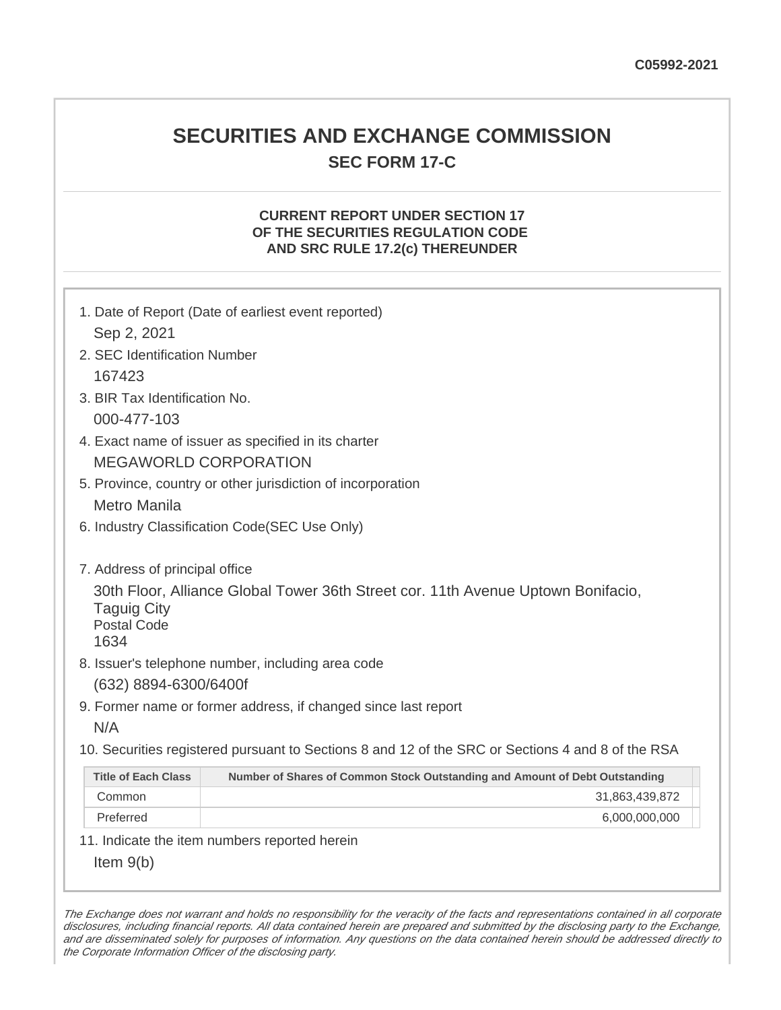## **SECURITIES AND EXCHANGE COMMISSION SEC FORM 17-C**

## **CURRENT REPORT UNDER SECTION 17 OF THE SECURITIES REGULATION CODE AND SRC RULE 17.2(c) THEREUNDER**

| 1. Date of Report (Date of earliest event reported)<br>Sep 2, 2021                                                                   |                                                                             |  |
|--------------------------------------------------------------------------------------------------------------------------------------|-----------------------------------------------------------------------------|--|
| 2. SEC Identification Number                                                                                                         |                                                                             |  |
| 167423                                                                                                                               |                                                                             |  |
| 3. BIR Tax Identification No.                                                                                                        |                                                                             |  |
| 000-477-103                                                                                                                          |                                                                             |  |
| 4. Exact name of issuer as specified in its charter                                                                                  |                                                                             |  |
| <b>MEGAWORLD CORPORATION</b>                                                                                                         |                                                                             |  |
|                                                                                                                                      |                                                                             |  |
| 5. Province, country or other jurisdiction of incorporation<br><b>Metro Manila</b>                                                   |                                                                             |  |
|                                                                                                                                      |                                                                             |  |
| 6. Industry Classification Code(SEC Use Only)                                                                                        |                                                                             |  |
| 7. Address of principal office                                                                                                       |                                                                             |  |
| 30th Floor, Alliance Global Tower 36th Street cor. 11th Avenue Uptown Bonifacio,<br><b>Taguig City</b><br><b>Postal Code</b><br>1634 |                                                                             |  |
|                                                                                                                                      | 8. Issuer's telephone number, including area code                           |  |
| (632) 8894-6300/6400f                                                                                                                |                                                                             |  |
| 9. Former name or former address, if changed since last report                                                                       |                                                                             |  |
| N/A                                                                                                                                  |                                                                             |  |
| 10. Securities registered pursuant to Sections 8 and 12 of the SRC or Sections 4 and 8 of the RSA                                    |                                                                             |  |
| <b>Title of Each Class</b>                                                                                                           | Number of Shares of Common Stock Outstanding and Amount of Debt Outstanding |  |
| Common                                                                                                                               | 31,863,439,872                                                              |  |
| Preferred                                                                                                                            | 6,000,000,000                                                               |  |
|                                                                                                                                      | 11. Indicate the item numbers reported herein                               |  |
| Item $9(b)$                                                                                                                          |                                                                             |  |

The Exchange does not warrant and holds no responsibility for the veracity of the facts and representations contained in all corporate disclosures, including financial reports. All data contained herein are prepared and submitted by the disclosing party to the Exchange, and are disseminated solely for purposes of information. Any questions on the data contained herein should be addressed directly to the Corporate Information Officer of the disclosing party.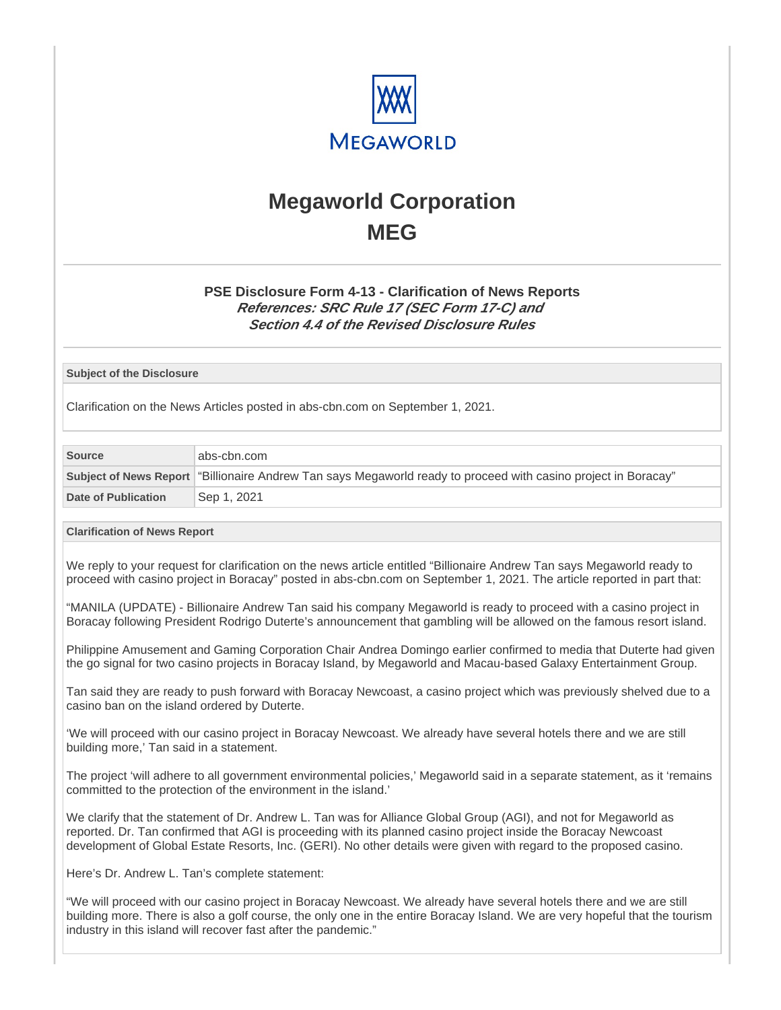

# **Megaworld Corporation MEG**

## **PSE Disclosure Form 4-13 - Clarification of News Reports References: SRC Rule 17 (SEC Form 17-C) and Section 4.4 of the Revised Disclosure Rules**

#### **Subject of the Disclosure**

Clarification on the News Articles posted in abs-cbn.com on September 1, 2021.

| <b>Source</b>              | abs-cbn.com                                                                                                    |  |
|----------------------------|----------------------------------------------------------------------------------------------------------------|--|
|                            | Subject of News Report "Billionaire Andrew Tan says Megaworld ready to proceed with casino project in Boracay" |  |
| <b>Date of Publication</b> | Sep 1, 2021                                                                                                    |  |

#### **Clarification of News Report**

We reply to your request for clarification on the news article entitled "Billionaire Andrew Tan says Megaworld ready to proceed with casino project in Boracay" posted in abs-cbn.com on September 1, 2021. The article reported in part that:

"MANILA (UPDATE) - Billionaire Andrew Tan said his company Megaworld is ready to proceed with a casino project in Boracay following President Rodrigo Duterte's announcement that gambling will be allowed on the famous resort island.

Philippine Amusement and Gaming Corporation Chair Andrea Domingo earlier confirmed to media that Duterte had given the go signal for two casino projects in Boracay Island, by Megaworld and Macau-based Galaxy Entertainment Group.

Tan said they are ready to push forward with Boracay Newcoast, a casino project which was previously shelved due to a casino ban on the island ordered by Duterte.

'We will proceed with our casino project in Boracay Newcoast. We already have several hotels there and we are still building more,' Tan said in a statement.

The project 'will adhere to all government environmental policies,' Megaworld said in a separate statement, as it 'remains committed to the protection of the environment in the island.'

We clarify that the statement of Dr. Andrew L. Tan was for Alliance Global Group (AGI), and not for Megaworld as reported. Dr. Tan confirmed that AGI is proceeding with its planned casino project inside the Boracay Newcoast development of Global Estate Resorts, Inc. (GERI). No other details were given with regard to the proposed casino.

Here's Dr. Andrew L. Tan's complete statement:

"We will proceed with our casino project in Boracay Newcoast. We already have several hotels there and we are still building more. There is also a golf course, the only one in the entire Boracay Island. We are very hopeful that the tourism industry in this island will recover fast after the pandemic."